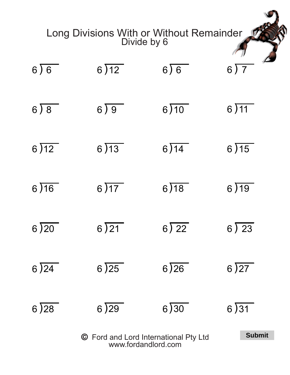| Long Divisions With or Without Remainder<br>Divide by 6 |               |      |                          |  |  |
|---------------------------------------------------------|---------------|------|--------------------------|--|--|
| 6)6                                                     | 6)12          | 6)6  | $6\overline{\smash{)}7}$ |  |  |
| 6)8                                                     | 6)9           | 6)10 | 6)11                     |  |  |
| 6)12                                                    | 6)13          | 6)14 | 6)15                     |  |  |
| 6)16                                                    | 6)17          | 6)18 | 6)19                     |  |  |
| 6)20                                                    | 6)21          | 6)22 | 6)23                     |  |  |
| 6)24                                                    | 6)25          | 6)26 | 6)27                     |  |  |
| 6)28                                                    | 6)29          | 6)30 | 6)31                     |  |  |
| © Ford and Lord International Pty Ltd                   | <b>Submit</b> |      |                          |  |  |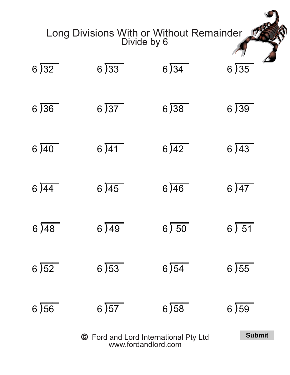| Long Divisions With or Without Remainder<br>Divide by 6 |               |       |      |  |  |
|---------------------------------------------------------|---------------|-------|------|--|--|
| 6)32                                                    | 6)33          | 6)34  | 6)35 |  |  |
| 6)36                                                    | 6)37          | 6)38  | 6)39 |  |  |
| 6)40                                                    | 6)41          | 6)42  | 6)43 |  |  |
| 6)44                                                    | 6)45          | 6)46  | 6)47 |  |  |
| 6)48                                                    | 6)49          | 6) 50 | 6)51 |  |  |
| 6)52                                                    | 6)53          | 6)54  | 6)55 |  |  |
| 6)56                                                    | 6)57          | 6)58  | 6)59 |  |  |
|                                                         | <b>Submit</b> |       |      |  |  |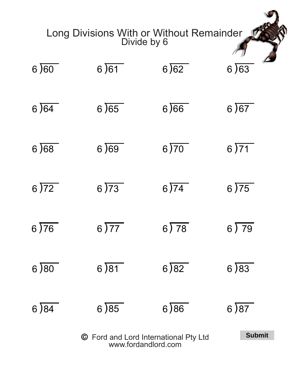| Long Divisions With or Without Remainder<br>Divide by 6 |               |      |       |  |  |
|---------------------------------------------------------|---------------|------|-------|--|--|
| 6)60                                                    | 6)61          | 6)62 | 6)63  |  |  |
| 6)64                                                    | 6)65          | 6)66 | 6)67  |  |  |
| 6)68                                                    | 6)69          | 6)70 | 6)71  |  |  |
| 6)72                                                    | 6)73          | 6)74 | 6)75  |  |  |
| 6)76                                                    | 6)77          | 6)78 | 6) 79 |  |  |
| 6)80                                                    | 6)81          | 6)82 | 6)83  |  |  |
| 6)84                                                    | 6)85          | 6)86 | 6)87  |  |  |
| © Ford and Lord International Pty Ltd                   | <b>Submit</b> |      |       |  |  |